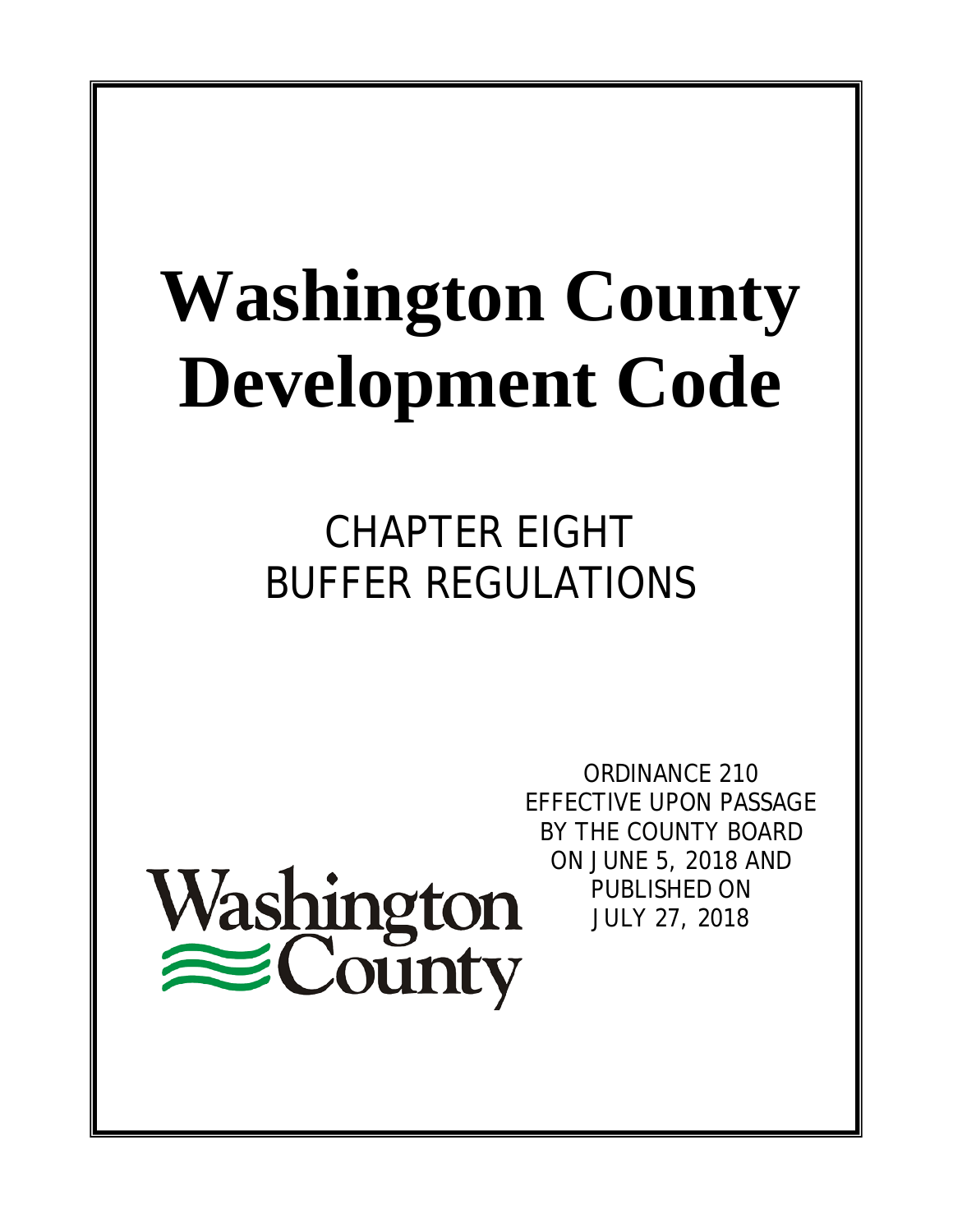# **Washington County Development Code**

CHAPTER EIGHT BUFFER REGULATIONS

Washington<br>
County

ORDINANCE 210 EFFECTIVE UPON PASSAGE BY THE COUNTY BOARD ON JUNE 5, 2018 AND PUBLISHED ON JULY 27, 2018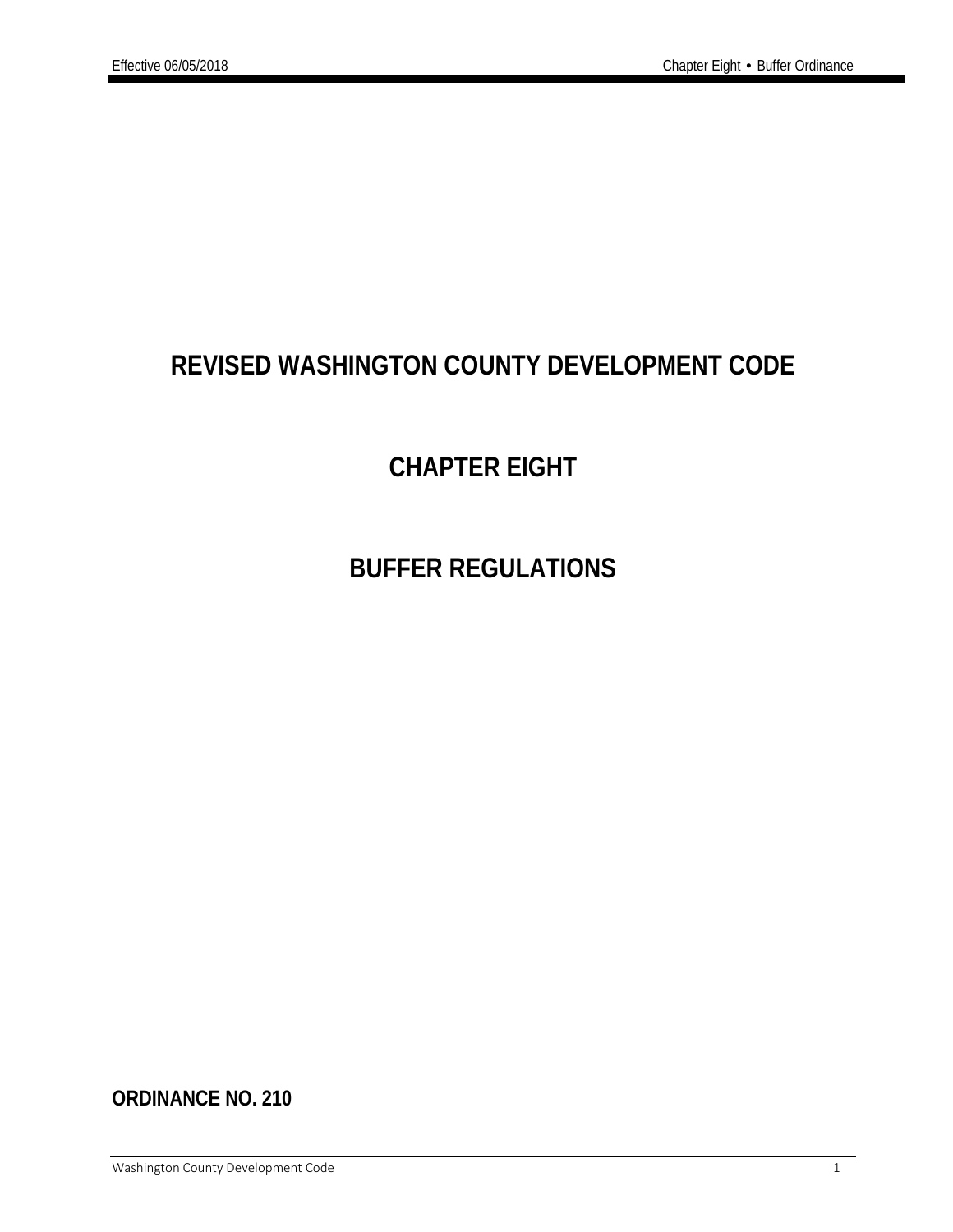# **REVISED WASHINGTON COUNTY DEVELOPMENT CODE**

# **CHAPTER EIGHT**

# **BUFFER REGULATIONS**

**ORDINANCE NO. 210**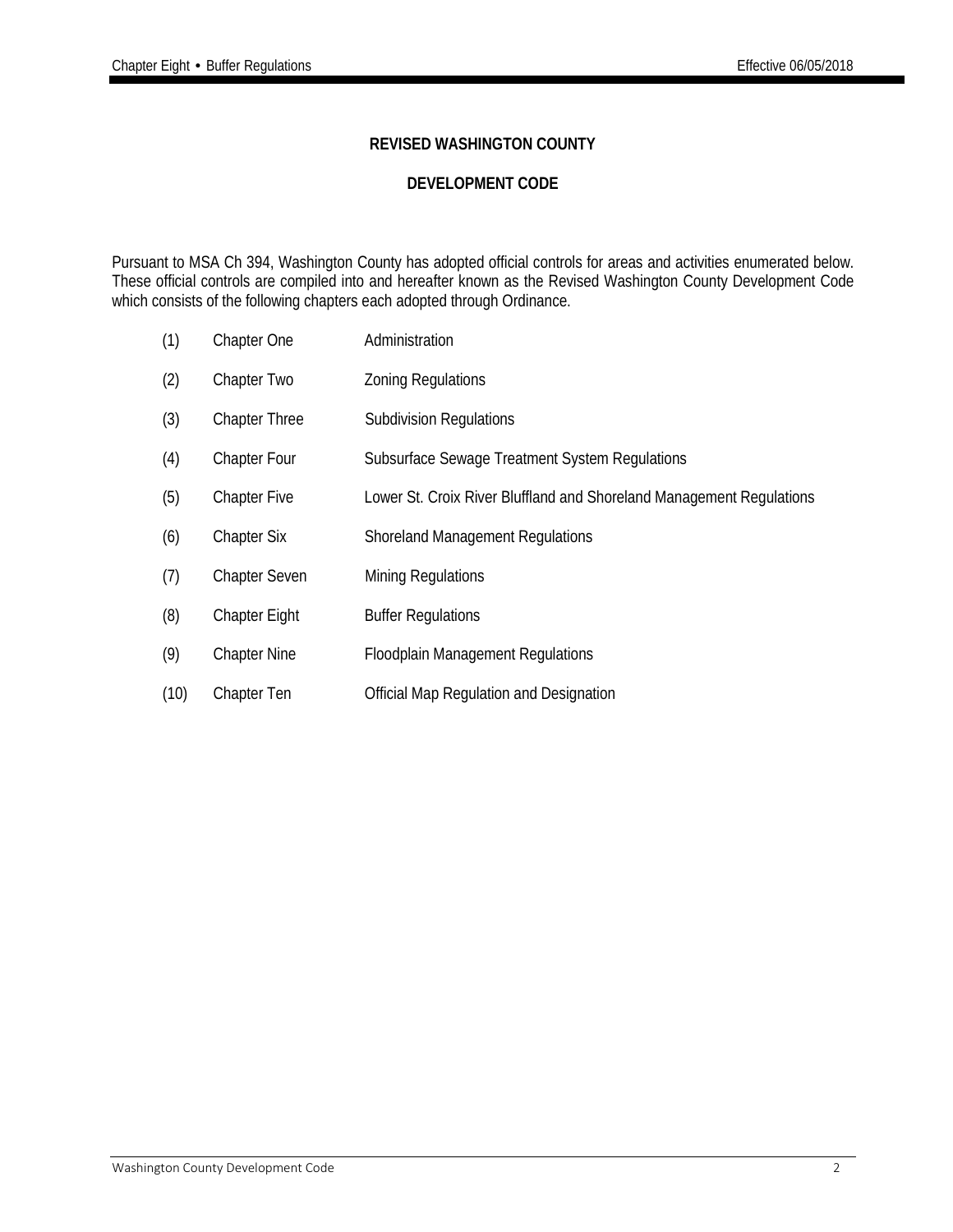#### **REVISED WASHINGTON COUNTY**

#### **DEVELOPMENT CODE**

Pursuant to MSA Ch 394, Washington County has adopted official controls for areas and activities enumerated below. These official controls are compiled into and hereafter known as the Revised Washington County Development Code which consists of the following chapters each adopted through Ordinance.

- (1) Chapter One Administration
- (2) Chapter Two Zoning Regulations
- (3) Chapter Three Subdivision Regulations
- (4) Chapter Four Subsurface Sewage Treatment System Regulations
- (5) Chapter Five Lower St. Croix River Bluffland and Shoreland Management Regulations
- (6) Chapter Six Shoreland Management Regulations
- (7) Chapter Seven Mining Regulations
- (8) Chapter Eight Buffer Regulations
- (9) Chapter Nine Floodplain Management Regulations
- (10) Chapter Ten Official Map Regulation and Designation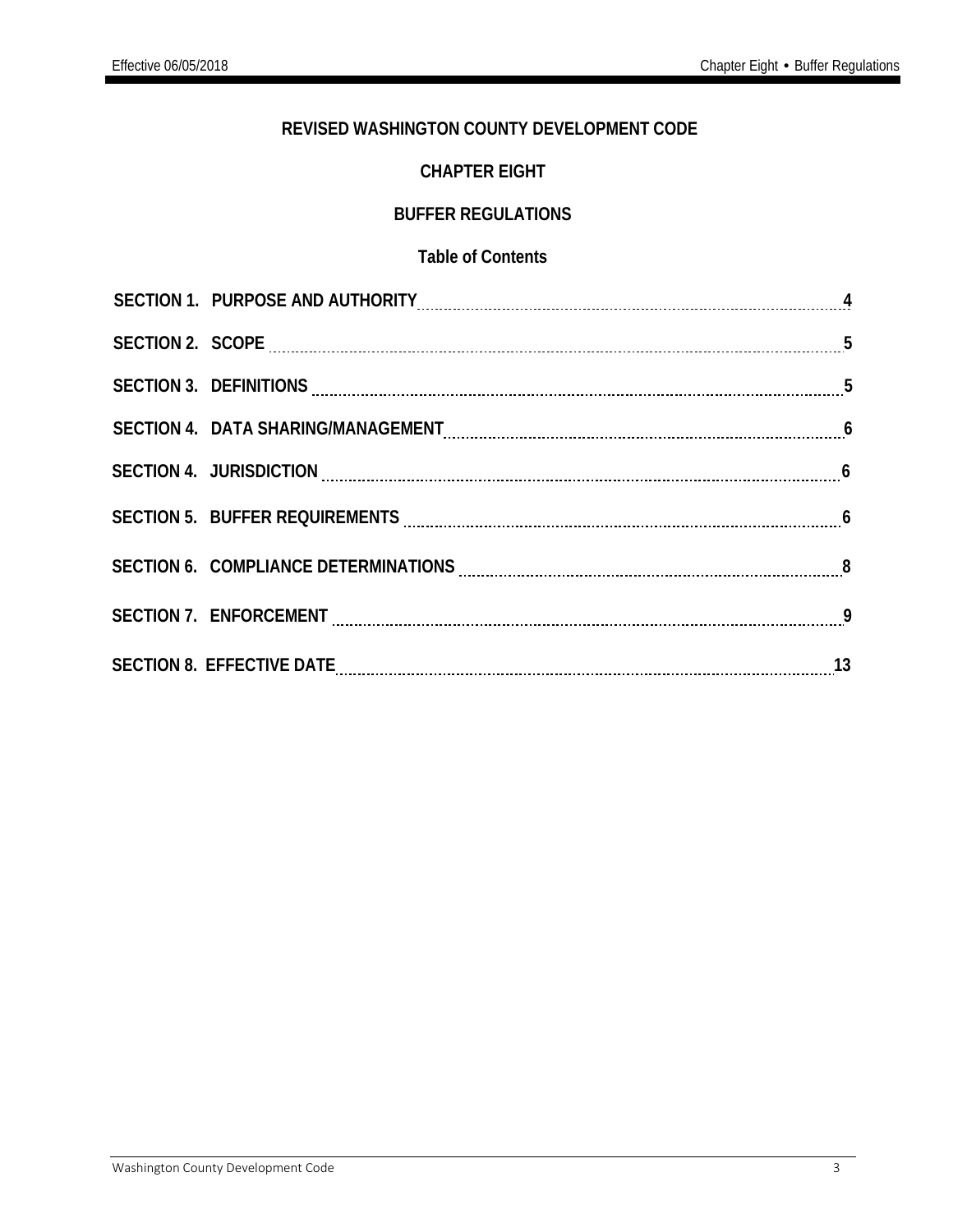#### **REVISED WASHINGTON COUNTY DEVELOPMENT CODE**

### **CHAPTER EIGHT**

#### **BUFFER REGULATIONS**

#### **Table of Contents**

| SECTION 1. PURPOSE AND AUTHORITY CONTENTY AND ACCORDING TO A 4                                    |  |
|---------------------------------------------------------------------------------------------------|--|
|                                                                                                   |  |
|                                                                                                   |  |
|                                                                                                   |  |
|                                                                                                   |  |
| SECTION 5. BUFFER REQUIREMENTS MALLET AND RESIDENCE TO A LIGATION STATE AND THE MELTIC SECTION 5. |  |
| SECTION 6. COMPLIANCE DETERMINATIONS EXAMPLE AND THE SECTION 6. COMPLIANCE DETERMINATIONS         |  |
|                                                                                                   |  |
| SECTION 8. EFFECTIVE DATE MARIE AND ACCORDING TO A 13                                             |  |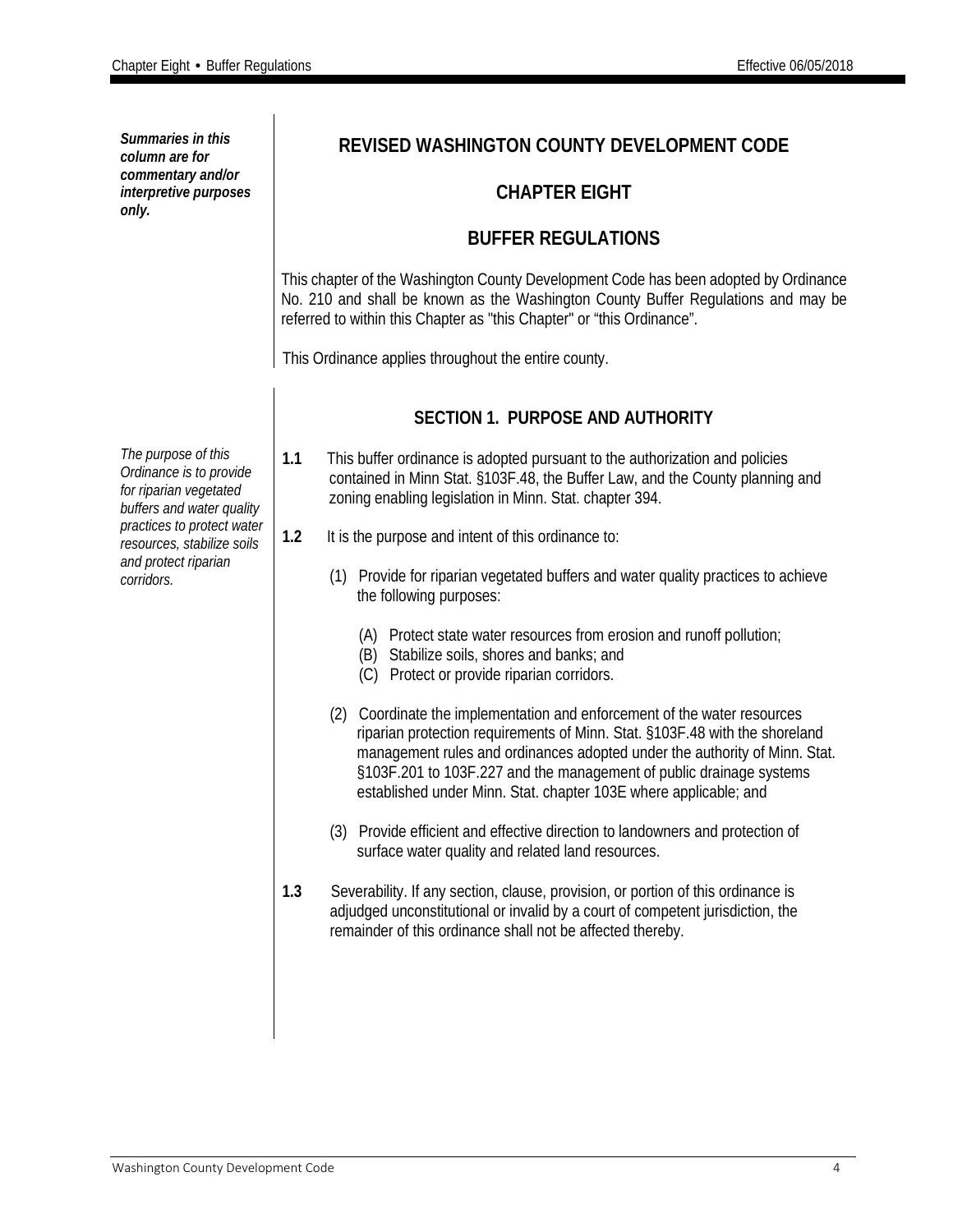| Summaries in this<br>column are for<br>commentary and/or<br>interpretive purposes<br>only.            | REVISED WASHINGTON COUNTY DEVELOPMENT CODE                                                                                                                                                                                                                                                                                                                                       |  |  |  |
|-------------------------------------------------------------------------------------------------------|----------------------------------------------------------------------------------------------------------------------------------------------------------------------------------------------------------------------------------------------------------------------------------------------------------------------------------------------------------------------------------|--|--|--|
|                                                                                                       | <b>CHAPTER EIGHT</b>                                                                                                                                                                                                                                                                                                                                                             |  |  |  |
|                                                                                                       | <b>BUFFER REGULATIONS</b>                                                                                                                                                                                                                                                                                                                                                        |  |  |  |
|                                                                                                       | This chapter of the Washington County Development Code has been adopted by Ordinance<br>No. 210 and shall be known as the Washington County Buffer Regulations and may be<br>referred to within this Chapter as "this Chapter" or "this Ordinance".                                                                                                                              |  |  |  |
|                                                                                                       | This Ordinance applies throughout the entire county.                                                                                                                                                                                                                                                                                                                             |  |  |  |
|                                                                                                       | <b>SECTION 1. PURPOSE AND AUTHORITY</b>                                                                                                                                                                                                                                                                                                                                          |  |  |  |
| The purpose of this<br>Ordinance is to provide<br>for riparian vegetated<br>buffers and water quality | This buffer ordinance is adopted pursuant to the authorization and policies<br>1.1<br>contained in Minn Stat. §103F.48, the Buffer Law, and the County planning and<br>zoning enabling legislation in Minn. Stat. chapter 394.                                                                                                                                                   |  |  |  |
| practices to protect water<br>resources, stabilize soils                                              | 1.2<br>It is the purpose and intent of this ordinance to:                                                                                                                                                                                                                                                                                                                        |  |  |  |
| and protect riparian<br>corridors.                                                                    | (1) Provide for riparian vegetated buffers and water quality practices to achieve<br>the following purposes:                                                                                                                                                                                                                                                                     |  |  |  |
|                                                                                                       | (A) Protect state water resources from erosion and runoff pollution;<br>(B) Stabilize soils, shores and banks; and<br>(C) Protect or provide riparian corridors.                                                                                                                                                                                                                 |  |  |  |
|                                                                                                       | (2) Coordinate the implementation and enforcement of the water resources<br>riparian protection requirements of Minn. Stat. §103F.48 with the shoreland<br>management rules and ordinances adopted under the authority of Minn. Stat.<br>§103F.201 to 103F.227 and the management of public drainage systems<br>established under Minn. Stat. chapter 103E where applicable; and |  |  |  |
|                                                                                                       | (3) Provide efficient and effective direction to landowners and protection of<br>surface water quality and related land resources.                                                                                                                                                                                                                                               |  |  |  |
|                                                                                                       | 1.3<br>Severability. If any section, clause, provision, or portion of this ordinance is<br>adjudged unconstitutional or invalid by a court of competent jurisdiction, the<br>remainder of this ordinance shall not be affected thereby.                                                                                                                                          |  |  |  |
|                                                                                                       |                                                                                                                                                                                                                                                                                                                                                                                  |  |  |  |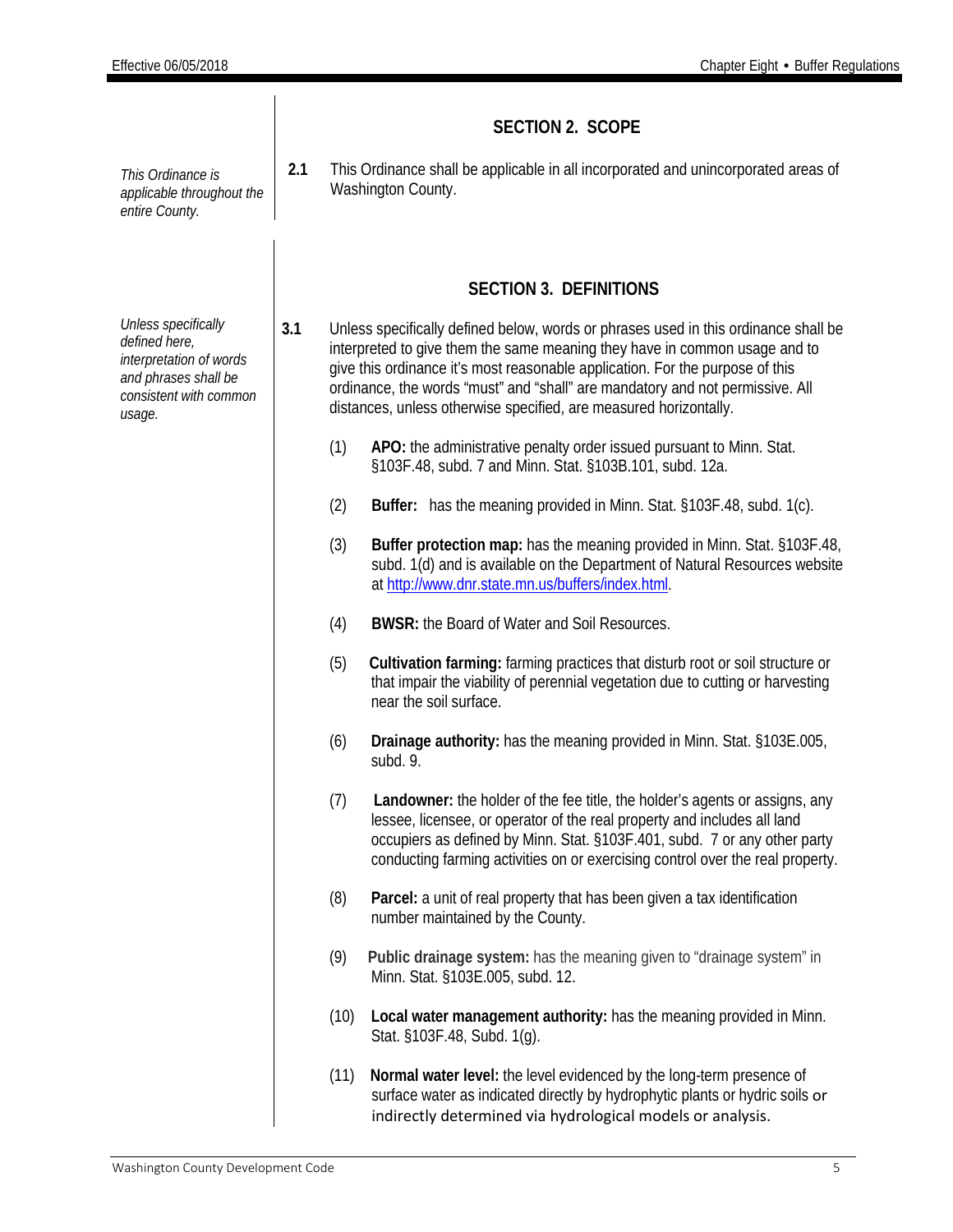|                                                                                                                             | <b>SECTION 2. SCOPE</b> |                                                                                                          |                                                                                                                                                                                                                                                                                                                                                                                                          |  |
|-----------------------------------------------------------------------------------------------------------------------------|-------------------------|----------------------------------------------------------------------------------------------------------|----------------------------------------------------------------------------------------------------------------------------------------------------------------------------------------------------------------------------------------------------------------------------------------------------------------------------------------------------------------------------------------------------------|--|
| This Ordinance is<br>applicable throughout the<br>entire County.                                                            | 2.1                     | This Ordinance shall be applicable in all incorporated and unincorporated areas of<br>Washington County. |                                                                                                                                                                                                                                                                                                                                                                                                          |  |
|                                                                                                                             |                         |                                                                                                          | <b>SECTION 3. DEFINITIONS</b>                                                                                                                                                                                                                                                                                                                                                                            |  |
| Unless specifically<br>defined here,<br>interpretation of words<br>and phrases shall be<br>consistent with common<br>usage. | 3.1                     |                                                                                                          | Unless specifically defined below, words or phrases used in this ordinance shall be<br>interpreted to give them the same meaning they have in common usage and to<br>give this ordinance it's most reasonable application. For the purpose of this<br>ordinance, the words "must" and "shall" are mandatory and not permissive. All<br>distances, unless otherwise specified, are measured horizontally. |  |
|                                                                                                                             |                         | (1)                                                                                                      | APO: the administrative penalty order issued pursuant to Minn. Stat.<br>§103F.48, subd. 7 and Minn. Stat. §103B.101, subd. 12a.                                                                                                                                                                                                                                                                          |  |
|                                                                                                                             |                         | (2)                                                                                                      | Buffer: has the meaning provided in Minn. Stat. §103F.48, subd. 1(c).                                                                                                                                                                                                                                                                                                                                    |  |
|                                                                                                                             |                         | (3)                                                                                                      | Buffer protection map: has the meaning provided in Minn. Stat. §103F.48,<br>subd. 1(d) and is available on the Department of Natural Resources website<br>at http://www.dnr.state.mn.us/buffers/index.html.                                                                                                                                                                                              |  |
|                                                                                                                             |                         | (4)                                                                                                      | <b>BWSR:</b> the Board of Water and Soil Resources.                                                                                                                                                                                                                                                                                                                                                      |  |
|                                                                                                                             |                         | (5)                                                                                                      | Cultivation farming: farming practices that disturb root or soil structure or<br>that impair the viability of perennial vegetation due to cutting or harvesting<br>near the soil surface.                                                                                                                                                                                                                |  |
|                                                                                                                             |                         | (6)                                                                                                      | Drainage authority: has the meaning provided in Minn. Stat. §103E.005,<br>subd. 9.                                                                                                                                                                                                                                                                                                                       |  |
|                                                                                                                             |                         | (7)                                                                                                      | Landowner: the holder of the fee title, the holder's agents or assigns, any<br>lessee, licensee, or operator of the real property and includes all land<br>occupiers as defined by Minn. Stat. §103F.401, subd. 7 or any other party<br>conducting farming activities on or exercising control over the real property.                                                                                   |  |
|                                                                                                                             |                         | (8)                                                                                                      | Parcel: a unit of real property that has been given a tax identification<br>number maintained by the County.                                                                                                                                                                                                                                                                                             |  |
|                                                                                                                             |                         | (9)                                                                                                      | Public drainage system: has the meaning given to "drainage system" in<br>Minn. Stat. §103E.005, subd. 12.                                                                                                                                                                                                                                                                                                |  |
|                                                                                                                             |                         | (10)                                                                                                     | Local water management authority: has the meaning provided in Minn.<br>Stat. §103F.48, Subd. 1(g).                                                                                                                                                                                                                                                                                                       |  |
|                                                                                                                             |                         | (11)                                                                                                     | Normal water level: the level evidenced by the long-term presence of<br>surface water as indicated directly by hydrophytic plants or hydric soils or<br>indirectly determined via hydrological models or analysis.                                                                                                                                                                                       |  |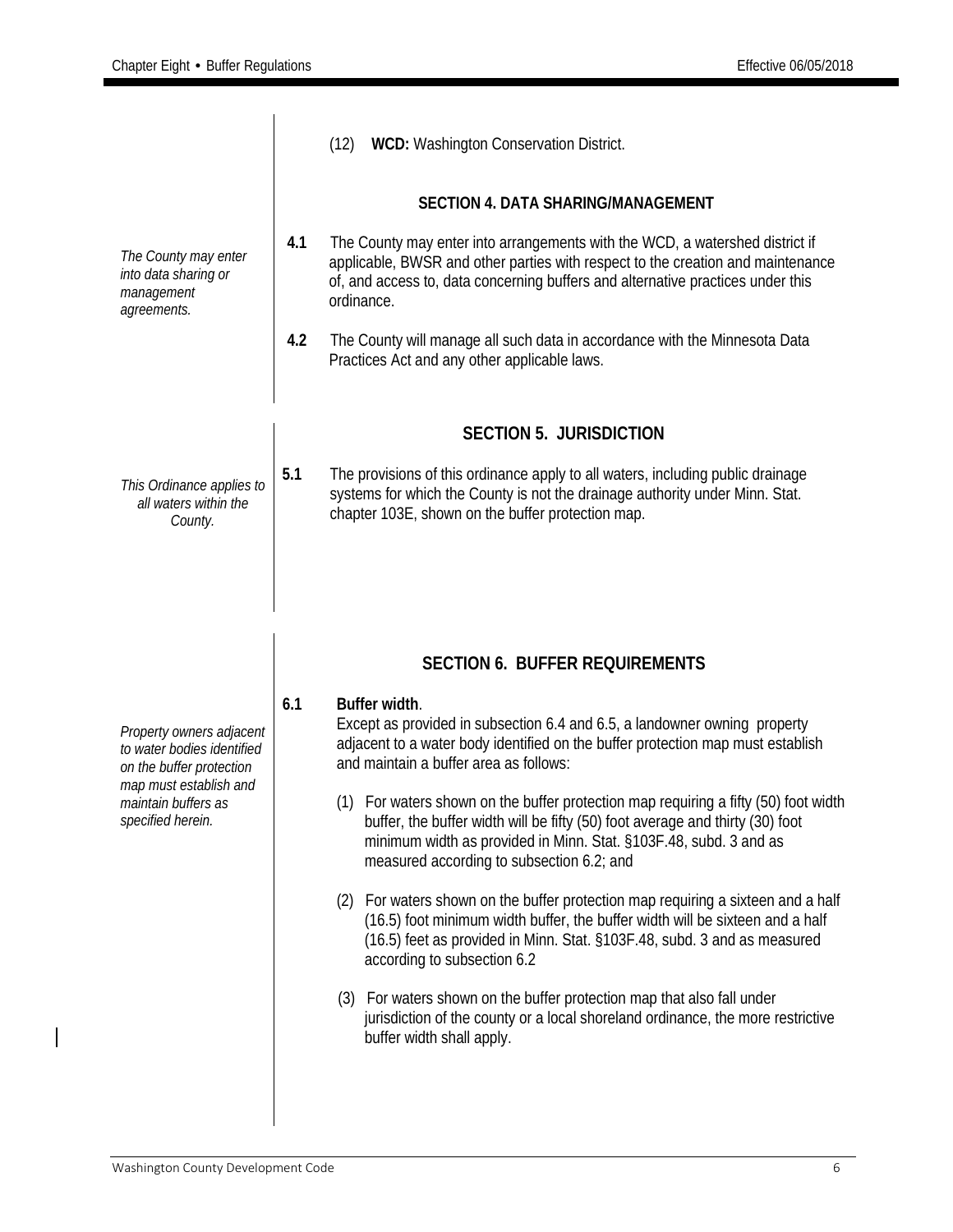|                                                                                    |                                           | (12) WCD: Washington Conservation District.                                                                                                                                                                                                                                            |  |  |  |
|------------------------------------------------------------------------------------|-------------------------------------------|----------------------------------------------------------------------------------------------------------------------------------------------------------------------------------------------------------------------------------------------------------------------------------------|--|--|--|
|                                                                                    | <b>SECTION 4. DATA SHARING/MANAGEMENT</b> |                                                                                                                                                                                                                                                                                        |  |  |  |
| The County may enter<br>into data sharing or<br>management<br>agreements.          | 4.1                                       | The County may enter into arrangements with the WCD, a watershed district if<br>applicable, BWSR and other parties with respect to the creation and maintenance<br>of, and access to, data concerning buffers and alternative practices under this<br>ordinance.                       |  |  |  |
|                                                                                    | 4.2                                       | The County will manage all such data in accordance with the Minnesota Data<br>Practices Act and any other applicable laws.                                                                                                                                                             |  |  |  |
|                                                                                    |                                           | <b>SECTION 5. JURISDICTION</b>                                                                                                                                                                                                                                                         |  |  |  |
| This Ordinance applies to<br>all waters within the<br>County.                      | 5.1                                       | The provisions of this ordinance apply to all waters, including public drainage<br>systems for which the County is not the drainage authority under Minn. Stat.<br>chapter 103E, shown on the buffer protection map.                                                                   |  |  |  |
|                                                                                    |                                           |                                                                                                                                                                                                                                                                                        |  |  |  |
|                                                                                    |                                           |                                                                                                                                                                                                                                                                                        |  |  |  |
|                                                                                    |                                           | <b>SECTION 6. BUFFER REQUIREMENTS</b>                                                                                                                                                                                                                                                  |  |  |  |
| Property owners adjacent<br>to water bodies identified<br>on the buffer protection | 6.1                                       | Buffer width.<br>Except as provided in subsection 6.4 and 6.5, a landowner owning property<br>adjacent to a water body identified on the buffer protection map must establish<br>and maintain a buffer area as follows:                                                                |  |  |  |
| map must establish and<br>maintain buffers as<br>specified herein.                 |                                           | (1) For waters shown on the buffer protection map requiring a fifty (50) foot width<br>buffer, the buffer width will be fifty (50) foot average and thirty (30) foot<br>minimum width as provided in Minn. Stat. §103F.48, subd. 3 and as<br>measured according to subsection 6.2; and |  |  |  |
|                                                                                    |                                           | (2) For waters shown on the buffer protection map requiring a sixteen and a half<br>(16.5) foot minimum width buffer, the buffer width will be sixteen and a half<br>(16.5) feet as provided in Minn. Stat. §103F.48, subd. 3 and as measured<br>according to subsection 6.2           |  |  |  |
|                                                                                    |                                           | (3) For waters shown on the buffer protection map that also fall under<br>jurisdiction of the county or a local shoreland ordinance, the more restrictive<br>buffer width shall apply.                                                                                                 |  |  |  |

 $\overline{\phantom{a}}$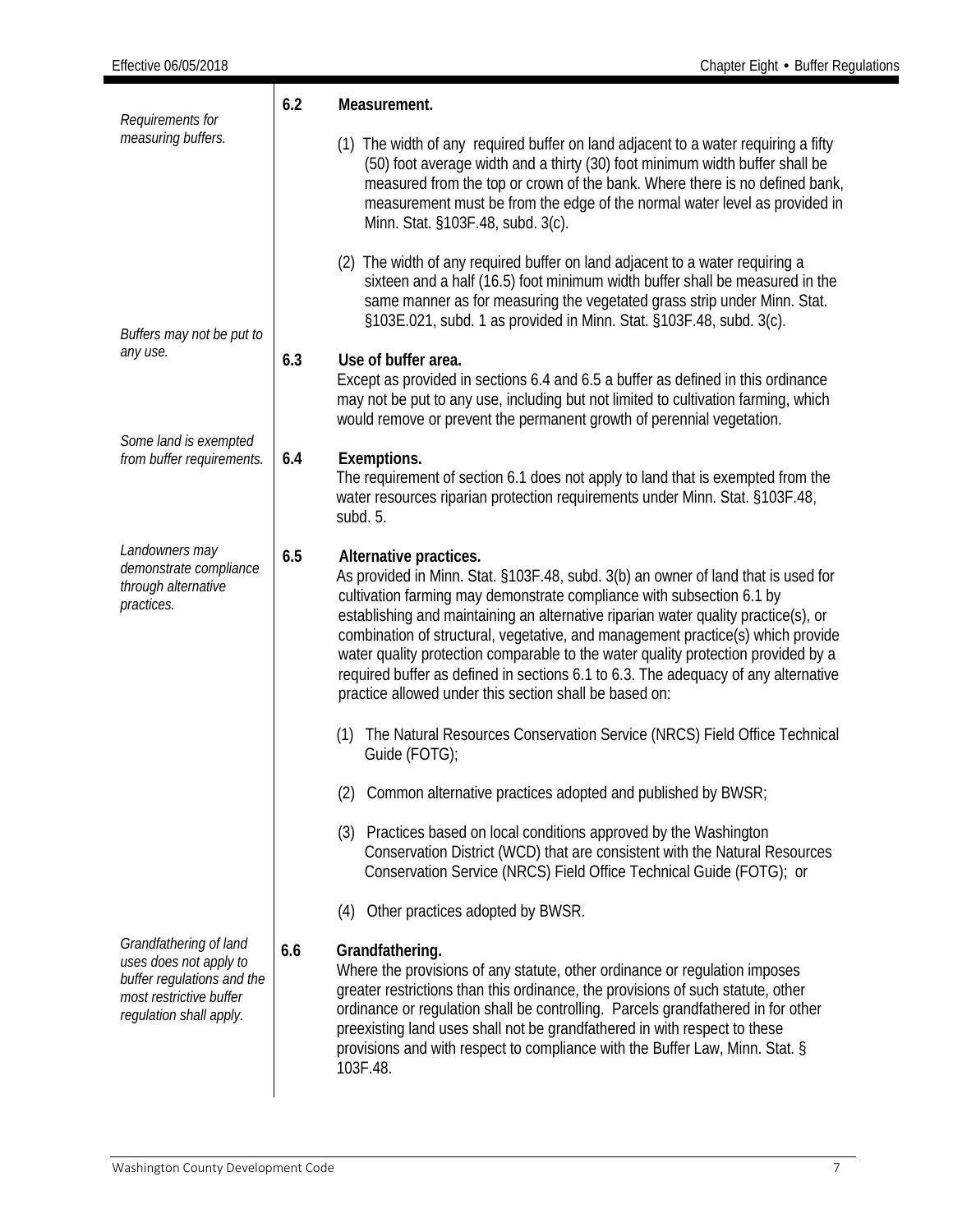| Requirements for                                                                                                                     | 6.2<br>Measurement. |                                                                                                                                                                                                                                                                                                                                                                                                                                                                                                                                                                                                    |  |  |
|--------------------------------------------------------------------------------------------------------------------------------------|---------------------|----------------------------------------------------------------------------------------------------------------------------------------------------------------------------------------------------------------------------------------------------------------------------------------------------------------------------------------------------------------------------------------------------------------------------------------------------------------------------------------------------------------------------------------------------------------------------------------------------|--|--|
| measuring buffers.                                                                                                                   |                     | (1) The width of any required buffer on land adjacent to a water requiring a fifty<br>(50) foot average width and a thirty (30) foot minimum width buffer shall be<br>measured from the top or crown of the bank. Where there is no defined bank,<br>measurement must be from the edge of the normal water level as provided in<br>Minn. Stat. §103F.48, subd. 3(c).                                                                                                                                                                                                                               |  |  |
| Buffers may not be put to<br>any use.                                                                                                |                     | (2) The width of any required buffer on land adjacent to a water requiring a<br>sixteen and a half (16.5) foot minimum width buffer shall be measured in the<br>same manner as for measuring the vegetated grass strip under Minn. Stat.<br>§103E.021, subd. 1 as provided in Minn. Stat. §103F.48, subd. 3(c).                                                                                                                                                                                                                                                                                    |  |  |
|                                                                                                                                      | 6.3                 | Use of buffer area.<br>Except as provided in sections 6.4 and 6.5 a buffer as defined in this ordinance<br>may not be put to any use, including but not limited to cultivation farming, which<br>would remove or prevent the permanent growth of perennial vegetation.                                                                                                                                                                                                                                                                                                                             |  |  |
| Some land is exempted<br>from buffer requirements.                                                                                   | 6.4                 | Exemptions.<br>The requirement of section 6.1 does not apply to land that is exempted from the<br>water resources riparian protection requirements under Minn. Stat. §103F.48,<br>subd. 5.                                                                                                                                                                                                                                                                                                                                                                                                         |  |  |
| Landowners may<br>demonstrate compliance<br>through alternative<br>practices.                                                        | 6.5                 | Alternative practices.<br>As provided in Minn. Stat. §103F.48, subd. 3(b) an owner of land that is used for<br>cultivation farming may demonstrate compliance with subsection 6.1 by<br>establishing and maintaining an alternative riparian water quality practice(s), or<br>combination of structural, vegetative, and management practice(s) which provide<br>water quality protection comparable to the water quality protection provided by a<br>required buffer as defined in sections 6.1 to 6.3. The adequacy of any alternative<br>practice allowed under this section shall be based on: |  |  |
|                                                                                                                                      |                     | (1) The Natural Resources Conservation Service (NRCS) Field Office Technical<br>Guide (FOTG);                                                                                                                                                                                                                                                                                                                                                                                                                                                                                                      |  |  |
|                                                                                                                                      |                     | (2)<br>Common alternative practices adopted and published by BWSR;                                                                                                                                                                                                                                                                                                                                                                                                                                                                                                                                 |  |  |
|                                                                                                                                      |                     | (3) Practices based on local conditions approved by the Washington<br>Conservation District (WCD) that are consistent with the Natural Resources<br>Conservation Service (NRCS) Field Office Technical Guide (FOTG); or                                                                                                                                                                                                                                                                                                                                                                            |  |  |
|                                                                                                                                      |                     | (4) Other practices adopted by BWSR.                                                                                                                                                                                                                                                                                                                                                                                                                                                                                                                                                               |  |  |
| Grandfathering of land<br>uses does not apply to<br>buffer regulations and the<br>most restrictive buffer<br>regulation shall apply. | 6.6                 | Grandfathering.<br>Where the provisions of any statute, other ordinance or regulation imposes<br>greater restrictions than this ordinance, the provisions of such statute, other<br>ordinance or regulation shall be controlling. Parcels grandfathered in for other<br>preexisting land uses shall not be grandfathered in with respect to these<br>provisions and with respect to compliance with the Buffer Law, Minn. Stat. §<br>103F.48.                                                                                                                                                      |  |  |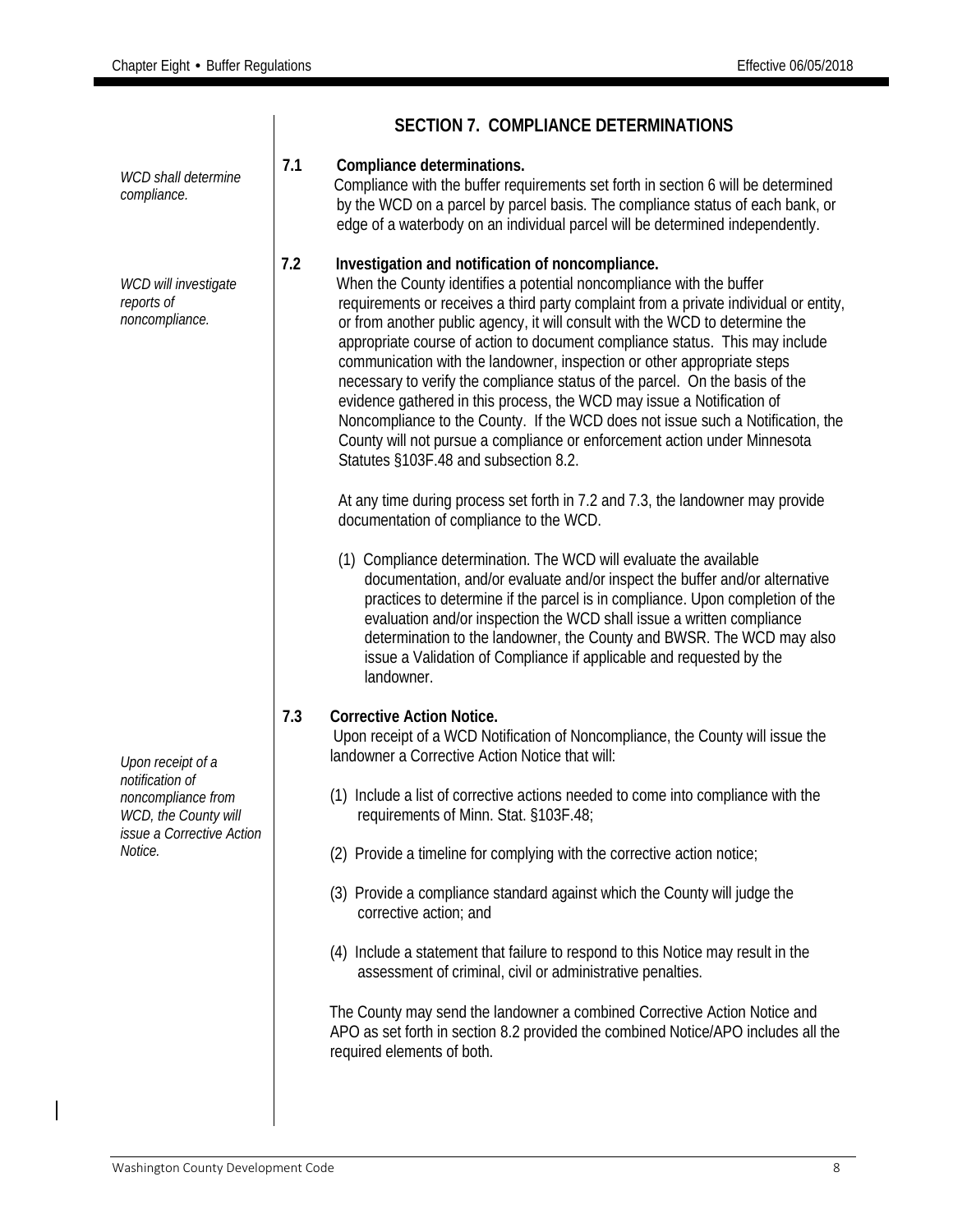|                                                                                            |     | <b>SECTION 7. COMPLIANCE DETERMINATIONS</b>                                                                                                                                                                                                                                                                                                                                                                                                                                                                                                                                                                                                                                                                                                                                                                                     |
|--------------------------------------------------------------------------------------------|-----|---------------------------------------------------------------------------------------------------------------------------------------------------------------------------------------------------------------------------------------------------------------------------------------------------------------------------------------------------------------------------------------------------------------------------------------------------------------------------------------------------------------------------------------------------------------------------------------------------------------------------------------------------------------------------------------------------------------------------------------------------------------------------------------------------------------------------------|
| WCD shall determine<br>compliance.                                                         | 7.1 | Compliance determinations.<br>Compliance with the buffer requirements set forth in section 6 will be determined<br>by the WCD on a parcel by parcel basis. The compliance status of each bank, or<br>edge of a waterbody on an individual parcel will be determined independently.                                                                                                                                                                                                                                                                                                                                                                                                                                                                                                                                              |
| WCD will investigate<br>reports of<br>noncompliance.                                       | 7.2 | Investigation and notification of noncompliance.<br>When the County identifies a potential noncompliance with the buffer<br>requirements or receives a third party complaint from a private individual or entity,<br>or from another public agency, it will consult with the WCD to determine the<br>appropriate course of action to document compliance status. This may include<br>communication with the landowner, inspection or other appropriate steps<br>necessary to verify the compliance status of the parcel. On the basis of the<br>evidence gathered in this process, the WCD may issue a Notification of<br>Noncompliance to the County. If the WCD does not issue such a Notification, the<br>County will not pursue a compliance or enforcement action under Minnesota<br>Statutes §103F.48 and subsection 8.2. |
|                                                                                            |     | At any time during process set forth in 7.2 and 7.3, the landowner may provide<br>documentation of compliance to the WCD.<br>(1) Compliance determination. The WCD will evaluate the available<br>documentation, and/or evaluate and/or inspect the buffer and/or alternative<br>practices to determine if the parcel is in compliance. Upon completion of the                                                                                                                                                                                                                                                                                                                                                                                                                                                                  |
|                                                                                            |     | evaluation and/or inspection the WCD shall issue a written compliance<br>determination to the landowner, the County and BWSR. The WCD may also<br>issue a Validation of Compliance if applicable and requested by the<br>landowner.                                                                                                                                                                                                                                                                                                                                                                                                                                                                                                                                                                                             |
| Upon receipt of a                                                                          | 7.3 | <b>Corrective Action Notice.</b><br>Upon receipt of a WCD Notification of Noncompliance, the County will issue the<br>landowner a Corrective Action Notice that will:                                                                                                                                                                                                                                                                                                                                                                                                                                                                                                                                                                                                                                                           |
| notification of<br>noncompliance from<br>WCD, the County will<br>issue a Corrective Action |     | (1) Include a list of corrective actions needed to come into compliance with the<br>requirements of Minn. Stat. §103F.48;                                                                                                                                                                                                                                                                                                                                                                                                                                                                                                                                                                                                                                                                                                       |
| Notice.                                                                                    |     | (2) Provide a timeline for complying with the corrective action notice;                                                                                                                                                                                                                                                                                                                                                                                                                                                                                                                                                                                                                                                                                                                                                         |
|                                                                                            |     | (3) Provide a compliance standard against which the County will judge the<br>corrective action; and                                                                                                                                                                                                                                                                                                                                                                                                                                                                                                                                                                                                                                                                                                                             |
|                                                                                            |     | (4) Include a statement that failure to respond to this Notice may result in the<br>assessment of criminal, civil or administrative penalties.                                                                                                                                                                                                                                                                                                                                                                                                                                                                                                                                                                                                                                                                                  |
|                                                                                            |     | The County may send the landowner a combined Corrective Action Notice and<br>APO as set forth in section 8.2 provided the combined Notice/APO includes all the<br>required elements of both.                                                                                                                                                                                                                                                                                                                                                                                                                                                                                                                                                                                                                                    |
|                                                                                            |     |                                                                                                                                                                                                                                                                                                                                                                                                                                                                                                                                                                                                                                                                                                                                                                                                                                 |

 $\overline{\phantom{a}}$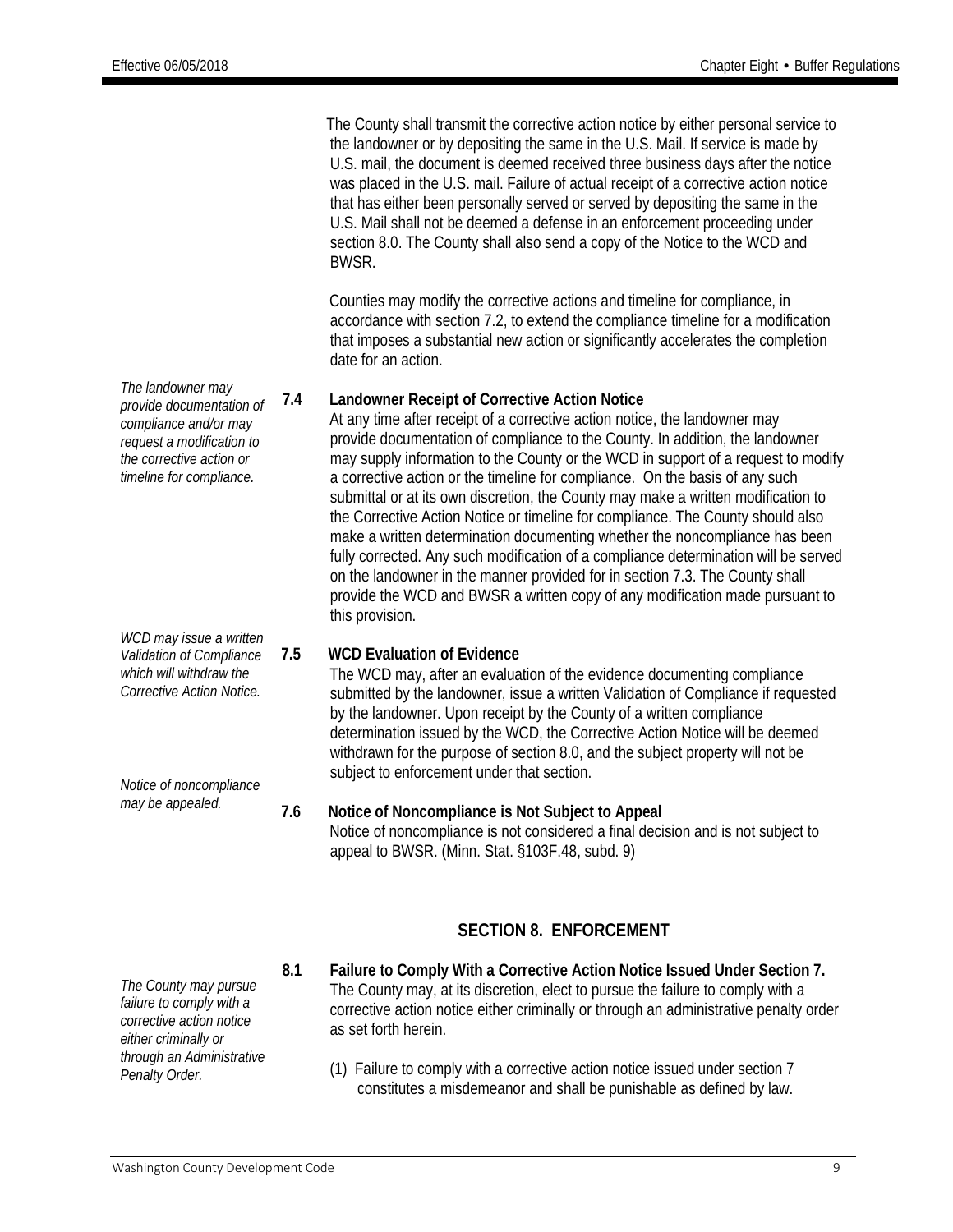*The landowner may provide documentation of compliance and/or may request a modification to the corrective action or timeline for compliance. WCD may issue a written Validation of Compliance which will withdraw the Corrective Action Notice. Notice of noncompliance may be appealed.* The County shall transmit the corrective action notice by either personal service to the landowner or by depositing the same in the U.S. Mail. If service is made by U.S. mail, the document is deemed received three business days after the notice was placed in the U.S. mail. Failure of actual receipt of a corrective action notice that has either been personally served or served by depositing the same in the U.S. Mail shall not be deemed a defense in an enforcement proceeding under section 8.0. The County shall also send a copy of the Notice to the WCD and BWSR. Counties may modify the corrective actions and timeline for compliance, in accordance with section 7.2, to extend the compliance timeline for a modification that imposes a substantial new action or significantly accelerates the completion date for an action. **7.4 Landowner Receipt of Corrective Action Notice** At any time after receipt of a corrective action notice, the landowner may provide documentation of compliance to the County. In addition, the landowner may supply information to the County or the WCD in support of a request to modify a corrective action or the timeline for compliance. On the basis of any such submittal or at its own discretion, the County may make a written modification to the Corrective Action Notice or timeline for compliance. The County should also make a written determination documenting whether the noncompliance has been fully corrected. Any such modification of a compliance determination will be served on the landowner in the manner provided for in section 7.3. The County shall provide the WCD and BWSR a written copy of any modification made pursuant to this provision. **7.5 WCD Evaluation of Evidence** The WCD may, after an evaluation of the evidence documenting compliance submitted by the landowner, issue a written Validation of Compliance if requested by the landowner. Upon receipt by the County of a written compliance determination issued by the WCD, the Corrective Action Notice will be deemed withdrawn for the purpose of section 8.0, and the subject property will not be subject to enforcement under that section. **7.6 Notice of Noncompliance is Not Subject to Appeal** Notice of noncompliance is not considered a final decision and is not subject to appeal to BWSR. (Minn. Stat. §103F.48, subd. 9) *The County may pursue failure to comply with a corrective action notice either criminally or through an Administrative Penalty Order.* **SECTION 8. ENFORCEMENT 8.1 Failure to Comply With a Corrective Action Notice Issued Under Section 7.** The County may, at its discretion, elect to pursue the failure to comply with a corrective action notice either criminally or through an administrative penalty order as set forth herein. (1) Failure to comply with a corrective action notice issued under section 7 constitutes a misdemeanor and shall be punishable as defined by law.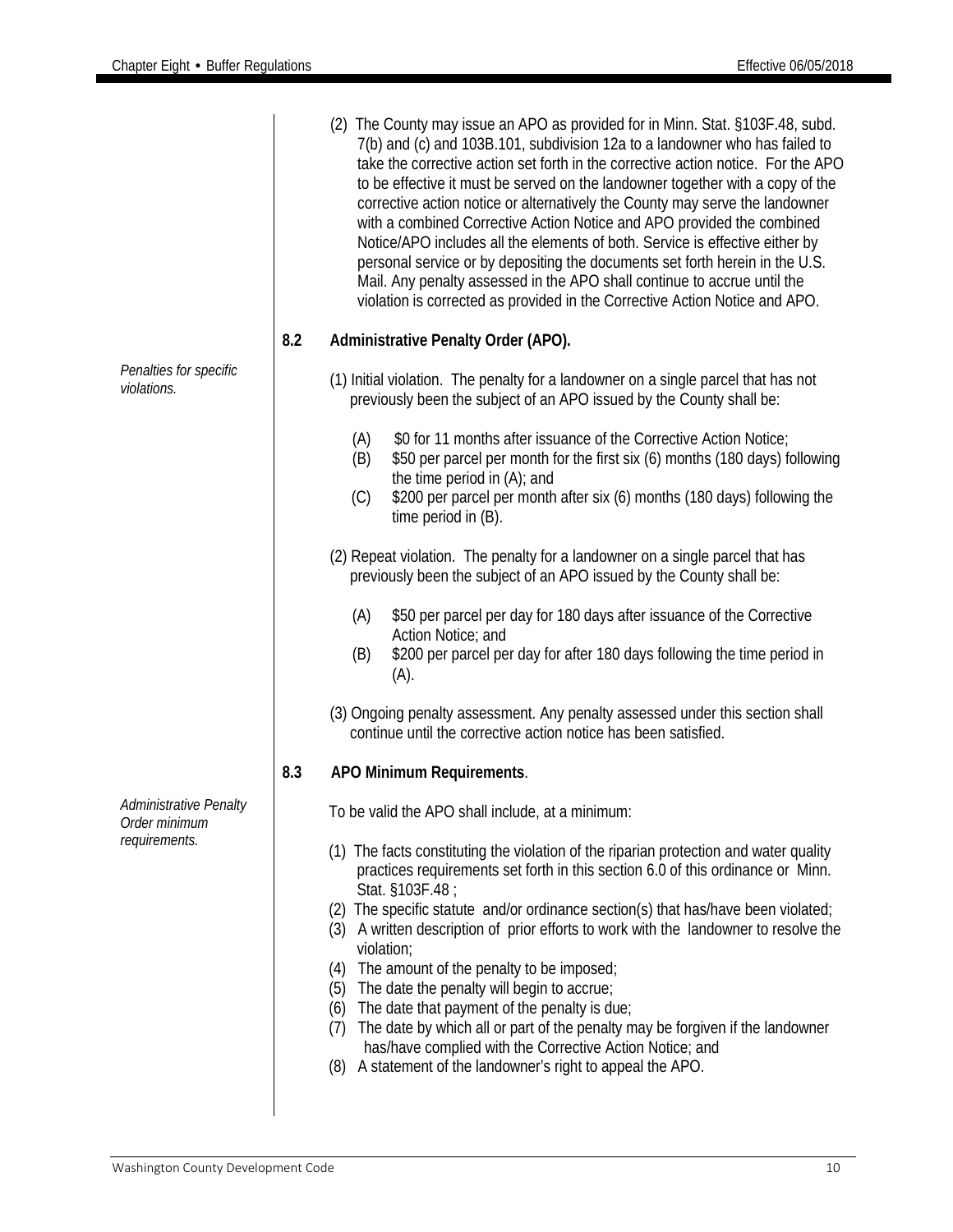|                                                |     | (2) The County may issue an APO as provided for in Minn. Stat. §103F.48, subd.<br>7(b) and (c) and 103B.101, subdivision 12a to a landowner who has failed to<br>take the corrective action set forth in the corrective action notice. For the APO<br>to be effective it must be served on the landowner together with a copy of the<br>corrective action notice or alternatively the County may serve the landowner<br>with a combined Corrective Action Notice and APO provided the combined<br>Notice/APO includes all the elements of both. Service is effective either by<br>personal service or by depositing the documents set forth herein in the U.S.<br>Mail. Any penalty assessed in the APO shall continue to accrue until the<br>violation is corrected as provided in the Corrective Action Notice and APO. |
|------------------------------------------------|-----|---------------------------------------------------------------------------------------------------------------------------------------------------------------------------------------------------------------------------------------------------------------------------------------------------------------------------------------------------------------------------------------------------------------------------------------------------------------------------------------------------------------------------------------------------------------------------------------------------------------------------------------------------------------------------------------------------------------------------------------------------------------------------------------------------------------------------|
|                                                | 8.2 | Administrative Penalty Order (APO).                                                                                                                                                                                                                                                                                                                                                                                                                                                                                                                                                                                                                                                                                                                                                                                       |
| Penalties for specific<br>violations.          |     | (1) Initial violation. The penalty for a landowner on a single parcel that has not<br>previously been the subject of an APO issued by the County shall be:                                                                                                                                                                                                                                                                                                                                                                                                                                                                                                                                                                                                                                                                |
|                                                |     | (A)<br>\$0 for 11 months after issuance of the Corrective Action Notice;<br>\$50 per parcel per month for the first six (6) months (180 days) following<br>(B)<br>the time period in $(A)$ ; and<br>\$200 per parcel per month after six (6) months (180 days) following the<br>(C)<br>time period in (B).                                                                                                                                                                                                                                                                                                                                                                                                                                                                                                                |
|                                                |     | (2) Repeat violation. The penalty for a landowner on a single parcel that has<br>previously been the subject of an APO issued by the County shall be:                                                                                                                                                                                                                                                                                                                                                                                                                                                                                                                                                                                                                                                                     |
|                                                |     | \$50 per parcel per day for 180 days after issuance of the Corrective<br>(A)<br>Action Notice; and<br>\$200 per parcel per day for after 180 days following the time period in<br>(B)<br>(A).                                                                                                                                                                                                                                                                                                                                                                                                                                                                                                                                                                                                                             |
|                                                |     | (3) Ongoing penalty assessment. Any penalty assessed under this section shall<br>continue until the corrective action notice has been satisfied.                                                                                                                                                                                                                                                                                                                                                                                                                                                                                                                                                                                                                                                                          |
|                                                | 8.3 | APO Minimum Requirements.                                                                                                                                                                                                                                                                                                                                                                                                                                                                                                                                                                                                                                                                                                                                                                                                 |
| <b>Administrative Penalty</b><br>Order minimum |     | To be valid the APO shall include, at a minimum:                                                                                                                                                                                                                                                                                                                                                                                                                                                                                                                                                                                                                                                                                                                                                                          |
| requirements.                                  |     | (1) The facts constituting the violation of the riparian protection and water quality<br>practices requirements set forth in this section 6.0 of this ordinance or Minn.<br>Stat. §103F.48;<br>(2) The specific statute and/or ordinance section(s) that has/have been violated;<br>(3) A written description of prior efforts to work with the landowner to resolve the<br>violation;<br>The amount of the penalty to be imposed;<br>(4)<br>(5) The date the penalty will begin to accrue;<br>(6) The date that payment of the penalty is due;<br>The date by which all or part of the penalty may be forgiven if the landowner<br>(7)<br>has/have complied with the Corrective Action Notice; and<br>A statement of the landowner's right to appeal the APO.<br>(8)                                                     |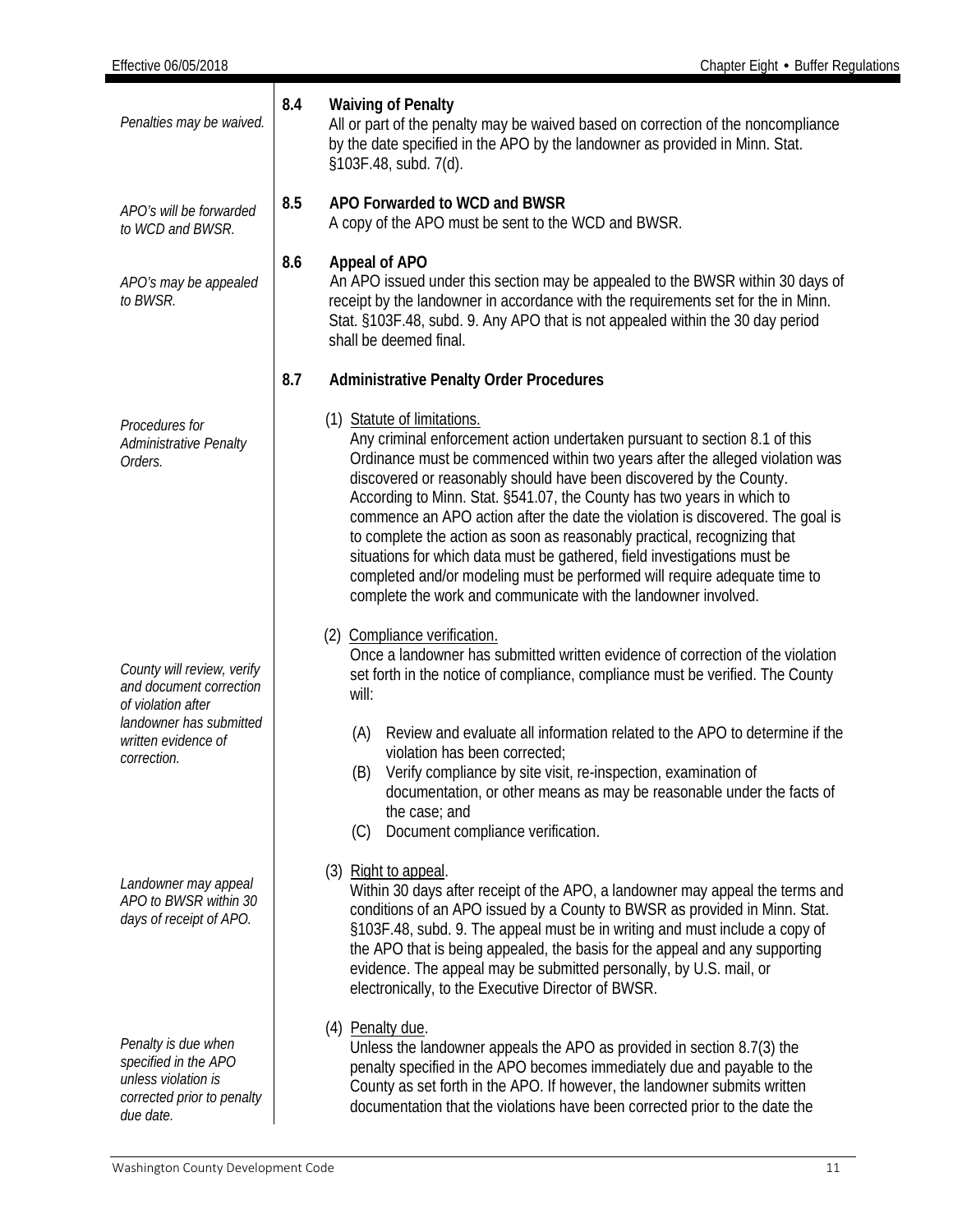| Penalties may be waived.                                                                                      | 8.4 | <b>Waiving of Penalty</b><br>All or part of the penalty may be waived based on correction of the noncompliance<br>by the date specified in the APO by the landowner as provided in Minn. Stat.<br>§103F.48, subd. 7(d).                                                                                                                                                                                                                                                                                                                                                                                                                                                                                                             |  |  |
|---------------------------------------------------------------------------------------------------------------|-----|-------------------------------------------------------------------------------------------------------------------------------------------------------------------------------------------------------------------------------------------------------------------------------------------------------------------------------------------------------------------------------------------------------------------------------------------------------------------------------------------------------------------------------------------------------------------------------------------------------------------------------------------------------------------------------------------------------------------------------------|--|--|
| APO's will be forwarded<br>to WCD and BWSR.                                                                   | 8.5 | APO Forwarded to WCD and BWSR<br>A copy of the APO must be sent to the WCD and BWSR.                                                                                                                                                                                                                                                                                                                                                                                                                                                                                                                                                                                                                                                |  |  |
| APO's may be appealed<br>to BWSR.                                                                             | 8.6 | Appeal of APO<br>An APO issued under this section may be appealed to the BWSR within 30 days of<br>receipt by the landowner in accordance with the requirements set for the in Minn.<br>Stat. §103F.48, subd. 9. Any APO that is not appealed within the 30 day period<br>shall be deemed final.                                                                                                                                                                                                                                                                                                                                                                                                                                    |  |  |
|                                                                                                               | 8.7 | <b>Administrative Penalty Order Procedures</b>                                                                                                                                                                                                                                                                                                                                                                                                                                                                                                                                                                                                                                                                                      |  |  |
| Procedures for<br>Administrative Penalty<br>Orders.                                                           |     | (1) Statute of limitations.<br>Any criminal enforcement action undertaken pursuant to section 8.1 of this<br>Ordinance must be commenced within two years after the alleged violation was<br>discovered or reasonably should have been discovered by the County.<br>According to Minn. Stat. §541.07, the County has two years in which to<br>commence an APO action after the date the violation is discovered. The goal is<br>to complete the action as soon as reasonably practical, recognizing that<br>situations for which data must be gathered, field investigations must be<br>completed and/or modeling must be performed will require adequate time to<br>complete the work and communicate with the landowner involved. |  |  |
| County will review, verify<br>and document correction<br>of violation after                                   |     | (2) Compliance verification.<br>Once a landowner has submitted written evidence of correction of the violation<br>set forth in the notice of compliance, compliance must be verified. The County<br>will:                                                                                                                                                                                                                                                                                                                                                                                                                                                                                                                           |  |  |
| landowner has submitted<br>written evidence of<br>correction.                                                 |     | Review and evaluate all information related to the APO to determine if the<br>(A)<br>violation has been corrected;<br>Verify compliance by site visit, re-inspection, examination of<br>(B)<br>documentation, or other means as may be reasonable under the facts of<br>the case; and<br>Document compliance verification.<br>(C)                                                                                                                                                                                                                                                                                                                                                                                                   |  |  |
| Landowner may appeal<br>APO to BWSR within 30<br>days of receipt of APO.                                      |     | (3) Right to appeal.<br>Within 30 days after receipt of the APO, a landowner may appeal the terms and<br>conditions of an APO issued by a County to BWSR as provided in Minn. Stat.<br>§103F.48, subd. 9. The appeal must be in writing and must include a copy of<br>the APO that is being appealed, the basis for the appeal and any supporting<br>evidence. The appeal may be submitted personally, by U.S. mail, or<br>electronically, to the Executive Director of BWSR.                                                                                                                                                                                                                                                       |  |  |
| Penalty is due when<br>specified in the APO<br>unless violation is<br>corrected prior to penalty<br>due date. |     | (4) Penalty due.<br>Unless the landowner appeals the APO as provided in section 8.7(3) the<br>penalty specified in the APO becomes immediately due and payable to the<br>County as set forth in the APO. If however, the landowner submits written<br>documentation that the violations have been corrected prior to the date the                                                                                                                                                                                                                                                                                                                                                                                                   |  |  |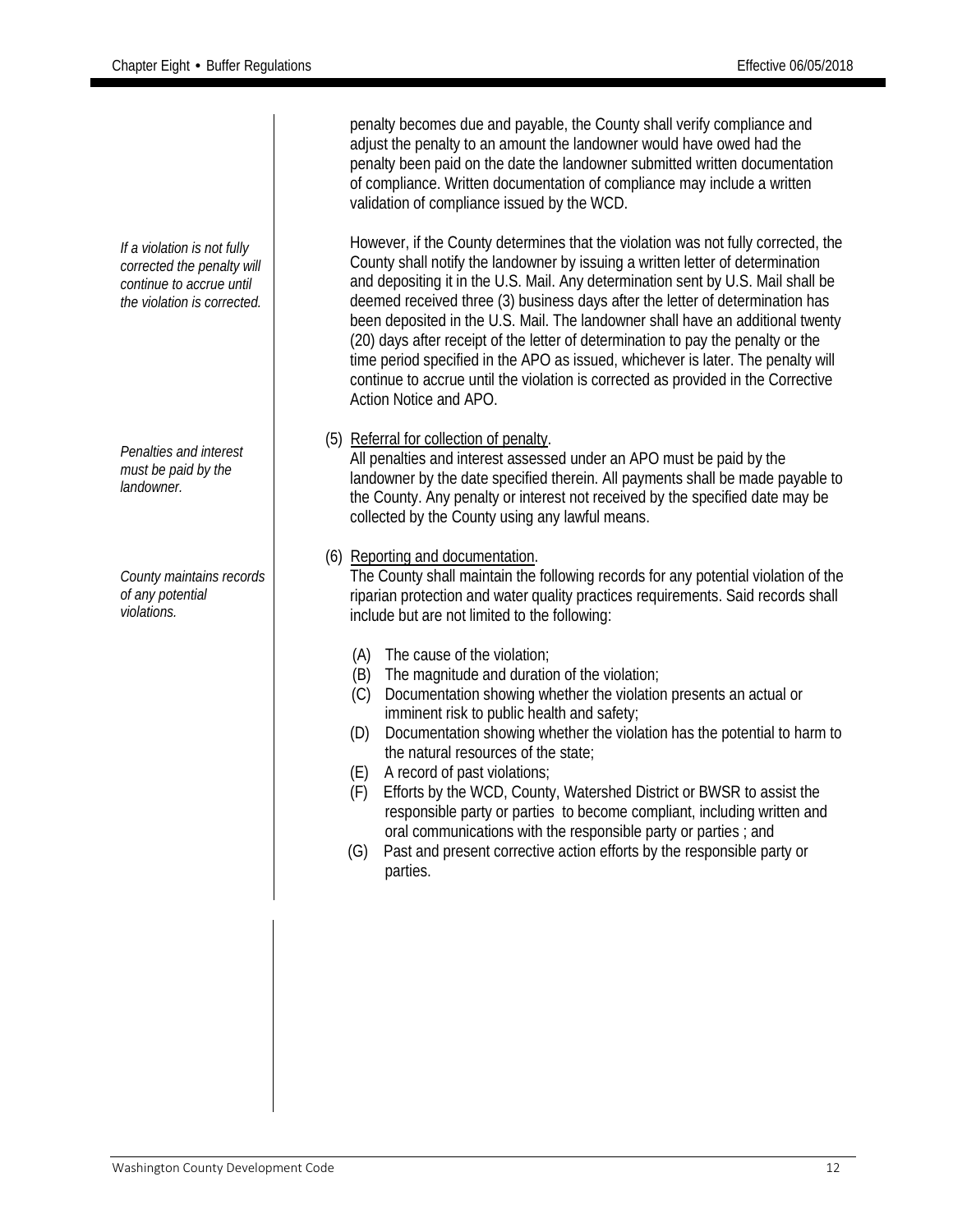*If a violation is not fully corrected the penalty will continue to accrue until the violation is corrected. Penalties and interest must be paid by the landowner. County maintains records of any potential violations.* penalty becomes due and payable, the County shall verify compliance and adjust the penalty to an amount the landowner would have owed had the penalty been paid on the date the landowner submitted written documentation of compliance. Written documentation of compliance may include a written validation of compliance issued by the WCD. However, if the County determines that the violation was not fully corrected, the County shall notify the landowner by issuing a written letter of determination and depositing it in the U.S. Mail. Any determination sent by U.S. Mail shall be deemed received three (3) business days after the letter of determination has been deposited in the U.S. Mail. The landowner shall have an additional twenty (20) days after receipt of the letter of determination to pay the penalty or the time period specified in the APO as issued, whichever is later. The penalty will continue to accrue until the violation is corrected as provided in the Corrective Action Notice and APO. (5) Referral for collection of penalty. All penalties and interest assessed under an APO must be paid by the landowner by the date specified therein. All payments shall be made payable to the County. Any penalty or interest not received by the specified date may be collected by the County using any lawful means. (6) Reporting and documentation. The County shall maintain the following records for any potential violation of the riparian protection and water quality practices requirements. Said records shall include but are not limited to the following: (A) The cause of the violation; (B) The magnitude and duration of the violation; (C) Documentation showing whether the violation presents an actual or imminent risk to public health and safety; (D) Documentation showing whether the violation has the potential to harm to the natural resources of the state; (E) A record of past violations; (F) Efforts by the WCD, County, Watershed District or BWSR to assist the responsible party or parties to become compliant, including written and oral communications with the responsible party or parties ; and (G) Past and present corrective action efforts by the responsible party or parties.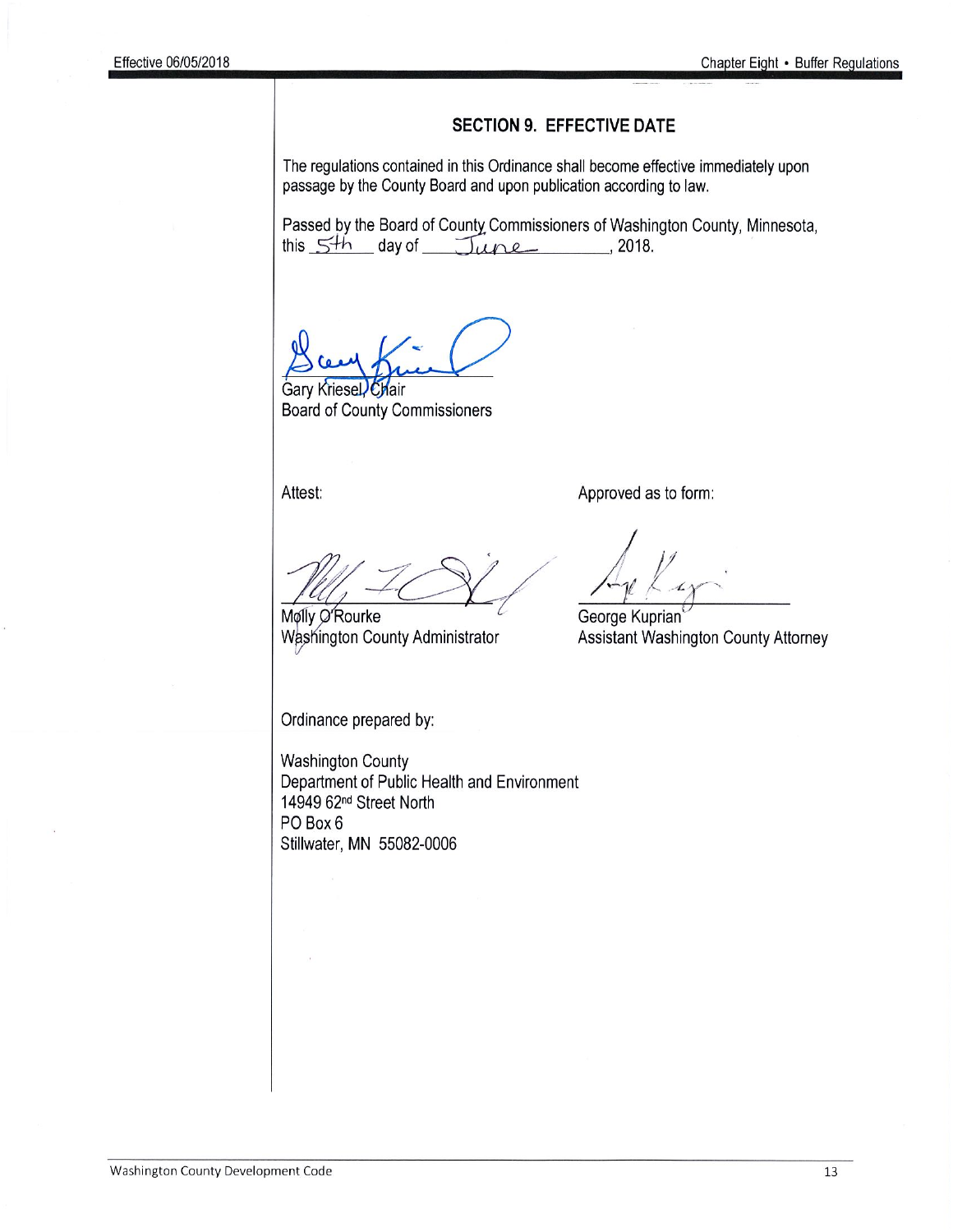#### **SECTION 9. EFFECTIVE DATE**

The regulations contained in this Ordinance shall become effective immediately upon passage by the County Board and upon publication according to law.

Passed by the Board of County Commissioners of Washington County, Minnesota, this  $5<sup>th</sup>$  day of  $\overline{\text{June}}$ , 2018.

Gary Kriesel Chair **Board of County Commissioners** 

Attest:

Approved as to form:

Molly O'Rourke

Washington County Administrator

George Kuprian Assistant Washington County Attorney

Ordinance prepared by:

**Washington County** Department of Public Health and Environment 14949 62<sup>nd</sup> Street North PO Box 6 Stillwater, MN 55082-0006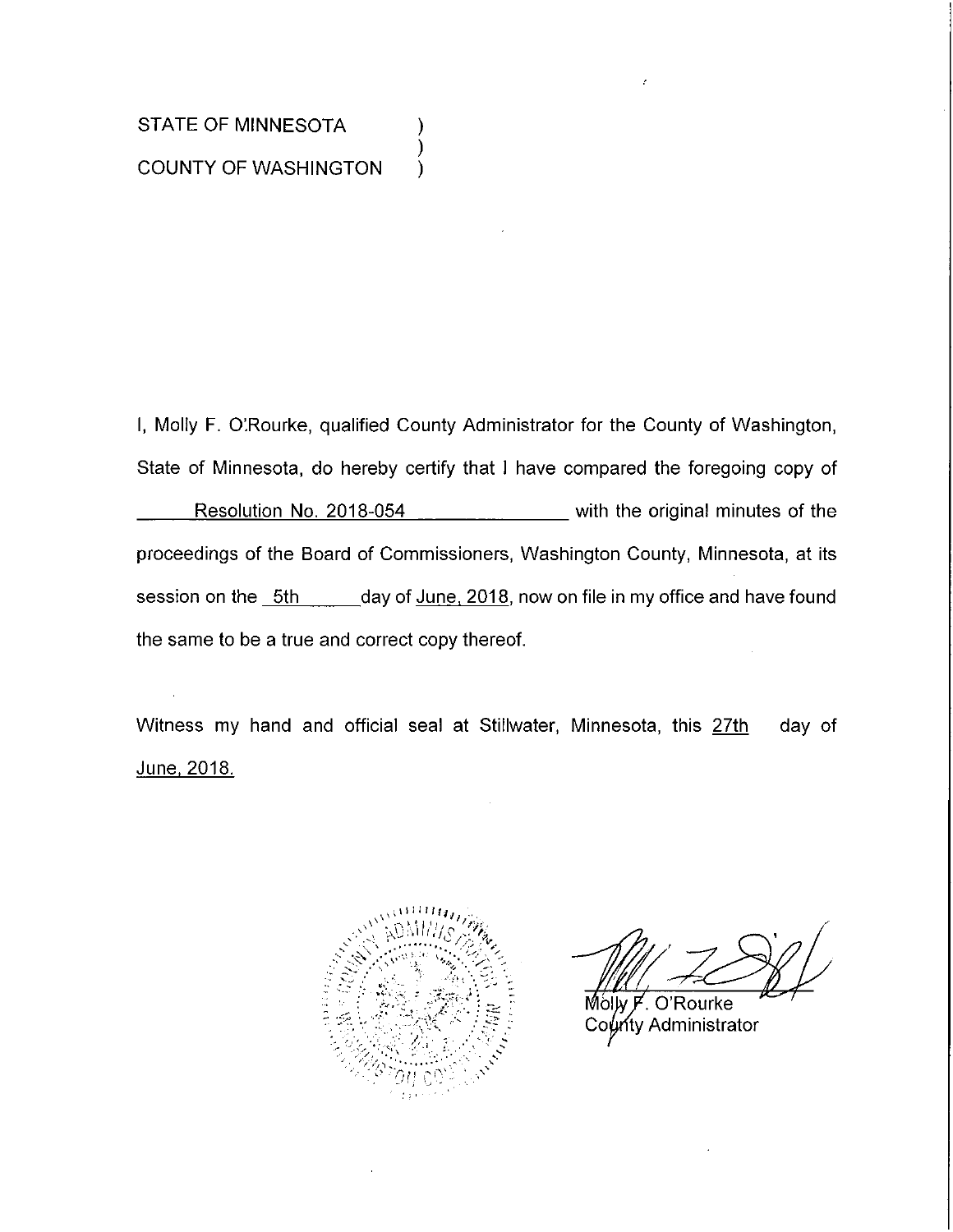## STATE OF MINNESOTA **COUNTY OF WASHINGTON**

I, Molly F. O'Rourke, qualified County Administrator for the County of Washington, State of Minnesota, do hereby certify that I have compared the foregoing copy of Resolution No. 2018-054 \_\_\_\_\_\_\_\_\_\_\_ with the original minutes of the proceedings of the Board of Commissioners, Washington County, Minnesota, at its session on the 5th \_\_\_\_\_\_day of June, 2018, now on file in my office and have found the same to be a true and correct copy thereof.

).

Witness my hand and official seal at Stillwater, Minnesota, this 27th day of <u>June, 2018.</u>



O'Rourke Molw F ท<sub>ี</sub>ty Administrator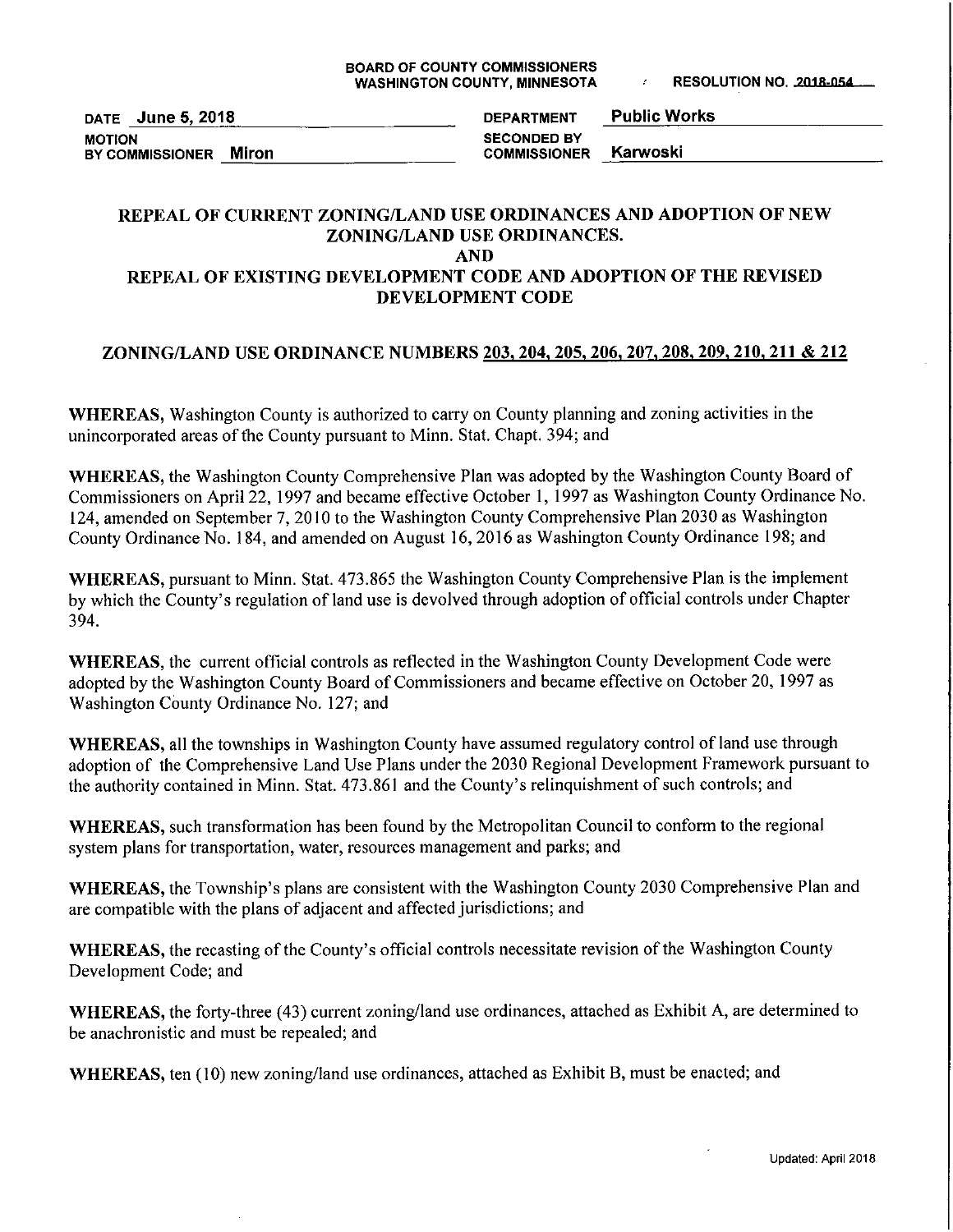DATE June 5, 2018 **MOTION** BY COMMISSIONER Miron

**Public Works DEPARTMENT SECONDED BY** Karwoski **COMMISSIONER** 

#### REPEAL OF CURRENT ZONING/LAND USE ORDINANCES AND ADOPTION OF NEW ZONING/LAND USE ORDINANCES. **AND**

#### REPEAL OF EXISTING DEVELOPMENT CODE AND ADOPTION OF THE REVISED DEVELOPMENT CODE

#### ZONING/LAND USE ORDINANCE NUMBERS 203, 204, 205, 206, 207, 208, 209, 210, 211 & 212

WHEREAS, Washington County is authorized to carry on County planning and zoning activities in the unincorporated areas of the County pursuant to Minn. Stat. Chapt. 394; and

WHEREAS, the Washington County Comprehensive Plan was adopted by the Washington County Board of Commissioners on April 22, 1997 and became effective October 1, 1997 as Washington County Ordinance No. 124, amended on September 7, 2010 to the Washington County Comprehensive Plan 2030 as Washington County Ordinance No. 184, and amended on August 16, 2016 as Washington County Ordinance 198; and

WHEREAS, pursuant to Minn. Stat. 473.865 the Washington County Comprehensive Plan is the implement by which the County's regulation of land use is devolved through adoption of official controls under Chapter 394.

**WHEREAS**, the current official controls as reflected in the Washington County Development Code were adopted by the Washington County Board of Commissioners and became effective on October 20, 1997 as Washington County Ordinance No. 127; and

WHEREAS, all the townships in Washington County have assumed regulatory control of land use through adoption of the Comprehensive Land Use Plans under the 2030 Regional Development Framework pursuant to the authority contained in Minn. Stat. 473.861 and the County's relinquishment of such controls; and

WHEREAS, such transformation has been found by the Metropolitan Council to conform to the regional system plans for transportation, water, resources management and parks; and

WHEREAS, the Township's plans are consistent with the Washington County 2030 Comprehensive Plan and are compatible with the plans of adjacent and affected jurisdictions; and

WHEREAS, the recasting of the County's official controls necessitate revision of the Washington County Development Code; and

WHEREAS, the forty-three (43) current zoning/land use ordinances, attached as Exhibit A, are determined to be anachronistic and must be repealed; and

WHEREAS, ten (10) new zoning/land use ordinances, attached as Exhibit B, must be enacted; and